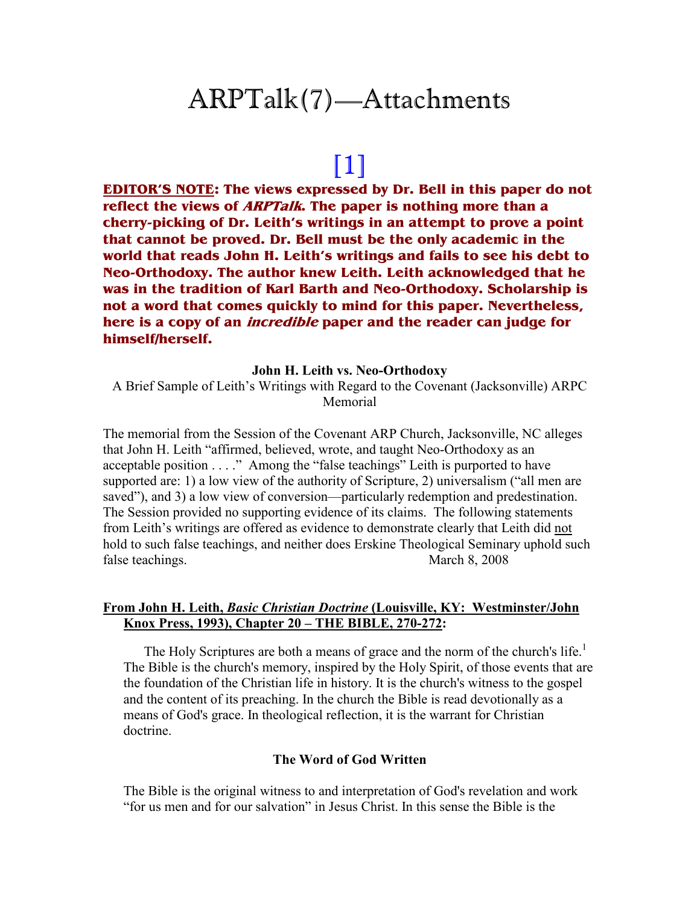## ARPTalk(7)—Attachments

# [1]

**EDITOR'S NOTE: The views expressed by Dr. Bell in this paper do not reflect the views of ARPTalk. The paper is nothing more than a cherry-picking of Dr. Leith's writings in an attempt to prove a point that cannot be proved. Dr. Bell must be the only academic in the world that reads John H. Leith's writings and fails to see his debt to Neo-Orthodoxy. The author knew Leith. Leith acknowledged that he was in the tradition of Karl Barth and Neo-Orthodoxy. Scholarship is not a word that comes quickly to mind for this paper. Nevertheless, here is a copy of an incredible paper and the reader can judge for himself/herself.** 

#### **John H. Leith vs. Neo-Orthodoxy**

A Brief Sample of Leith's Writings with Regard to the Covenant (Jacksonville) ARPC Memorial

The memorial from the Session of the Covenant ARP Church, Jacksonville, NC alleges that John H. Leith "affirmed, believed, wrote, and taught Neo-Orthodoxy as an acceptable position . . . ." Among the "false teachings" Leith is purported to have supported are: 1) a low view of the authority of Scripture, 2) universalism ("all men are saved"), and 3) a low view of conversion—particularly redemption and predestination. The Session provided no supporting evidence of its claims. The following statements from Leith's writings are offered as evidence to demonstrate clearly that Leith did not hold to such false teachings, and neither does Erskine Theological Seminary uphold such false teachings. March 8, 2008

#### **From John H. Leith,** *Basic Christian Doctrine* **(Louisville, KY: Westminster/John Knox Press, 1993), Chapter 20 – THE BIBLE, 270-272:**

The Holy Scriptures are both a means of grace and the norm of the church's life.<sup>1</sup> The Bible is the church's memory, inspired by the Holy Spirit, of those events that are the foundation of the Christian life in history. It is the church's witness to the gospel and the content of its preaching. In the church the Bible is read devotionally as a means of God's grace. In theological reflection, it is the warrant for Christian doctrine.

#### **The Word of God Written**

The Bible is the original witness to and interpretation of God's revelation and work "for us men and for our salvation" in Jesus Christ. In this sense the Bible is the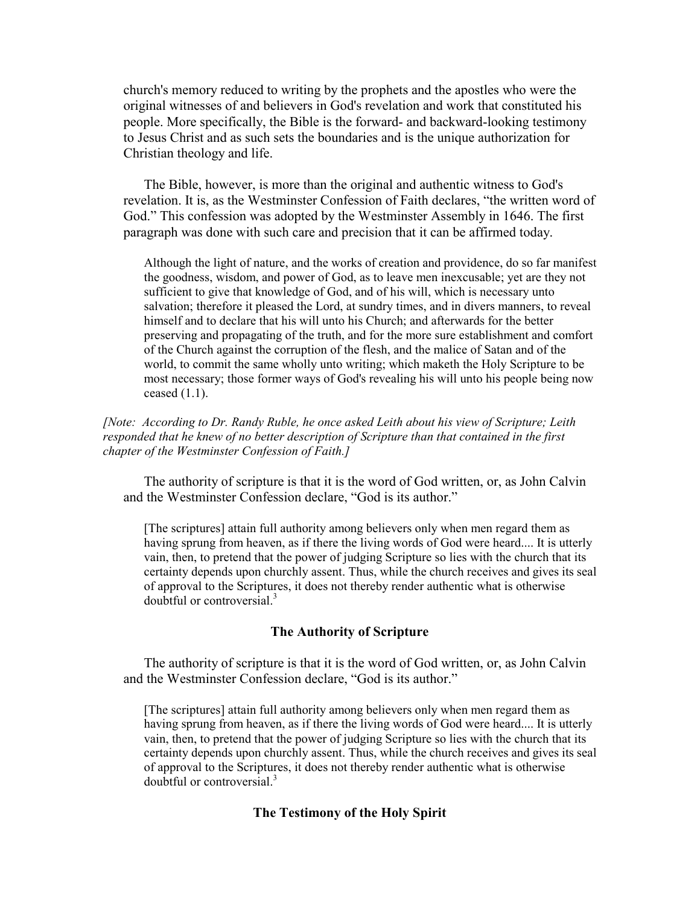church's memory reduced to writing by the prophets and the apostles who were the original witnesses of and believers in God's revelation and work that constituted his people. More specifically, the Bible is the forward- and backward-looking testimony to Jesus Christ and as such sets the boundaries and is the unique authorization for Christian theology and life.

The Bible, however, is more than the original and authentic witness to God's revelation. It is, as the Westminster Confession of Faith declares, "the written word of God." This confession was adopted by the Westminster Assembly in 1646. The first paragraph was done with such care and precision that it can be affirmed today.

Although the light of nature, and the works of creation and providence, do so far manifest the goodness, wisdom, and power of God, as to leave men inexcusable; yet are they not sufficient to give that knowledge of God, and of his will, which is necessary unto salvation; therefore it pleased the Lord, at sundry times, and in divers manners, to reveal himself and to declare that his will unto his Church; and afterwards for the better preserving and propagating of the truth, and for the more sure establishment and comfort of the Church against the corruption of the flesh, and the malice of Satan and of the world, to commit the same wholly unto writing; which maketh the Holy Scripture to be most necessary; those former ways of God's revealing his will unto his people being now ceased  $(1.1)$ .

[Note: According to Dr. Randy Ruble, he once asked Leith about his view of Scripture; Leith *responded that he knew of no better description of Scripture than that contained in the first chapter of the Westminster Confession of Faith.]* 

The authority of scripture is that it is the word of God written, or, as John Calvin and the Westminster Confession declare, "God is its author."

[The scriptures] attain full authority among believers only when men regard them as having sprung from heaven, as if there the living words of God were heard.... It is utterly vain, then, to pretend that the power of judging Scripture so lies with the church that its certainty depends upon churchly assent. Thus, while the church receives and gives its seal of approval to the Scriptures, it does not thereby render authentic what is otherwise doubtful or controversial.<sup>3</sup>

#### **The Authority of Scripture**

The authority of scripture is that it is the word of God written, or, as John Calvin and the Westminster Confession declare, "God is its author."

[The scriptures] attain full authority among believers only when men regard them as having sprung from heaven, as if there the living words of God were heard.... It is utterly vain, then, to pretend that the power of judging Scripture so lies with the church that its certainty depends upon churchly assent. Thus, while the church receives and gives its seal of approval to the Scriptures, it does not thereby render authentic what is otherwise doubtful or controversial<sup>3</sup>

#### **The Testimony of the Holy Spirit**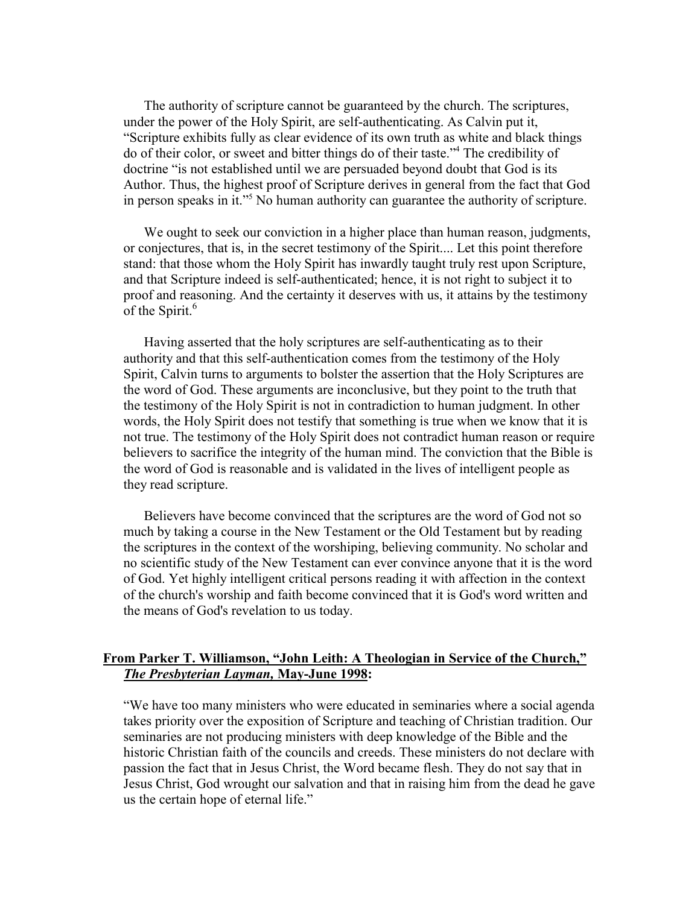The authority of scripture cannot be guaranteed by the church. The scriptures, under the power of the Holy Spirit, are self-authenticating. As Calvin put it, "Scripture exhibits fully as clear evidence of its own truth as white and black things do of their color, or sweet and bitter things do of their taste."<sup>4</sup> The credibility of doctrine "is not established until we are persuaded beyond doubt that God is its Author. Thus, the highest proof of Scripture derives in general from the fact that God in person speaks in it."<sup>5</sup> No human authority can guarantee the authority of scripture.

We ought to seek our conviction in a higher place than human reason, judgments, or conjectures, that is, in the secret testimony of the Spirit.... Let this point therefore stand: that those whom the Holy Spirit has inwardly taught truly rest upon Scripture, and that Scripture indeed is self-authenticated; hence, it is not right to subject it to proof and reasoning. And the certainty it deserves with us, it attains by the testimony of the Spirit.<sup>6</sup>

Having asserted that the holy scriptures are self-authenticating as to their authority and that this self-authentication comes from the testimony of the Holy Spirit, Calvin turns to arguments to bolster the assertion that the Holy Scriptures are the word of God. These arguments are inconclusive, but they point to the truth that the testimony of the Holy Spirit is not in contradiction to human judgment. In other words, the Holy Spirit does not testify that something is true when we know that it is not true. The testimony of the Holy Spirit does not contradict human reason or require believers to sacrifice the integrity of the human mind. The conviction that the Bible is the word of God is reasonable and is validated in the lives of intelligent people as they read scripture.

Believers have become convinced that the scriptures are the word of God not so much by taking a course in the New Testament or the Old Testament but by reading the scriptures in the context of the worshiping, believing community. No scholar and no scientific study of the New Testament can ever convince anyone that it is the word of God. Yet highly intelligent critical persons reading it with affection in the context of the church's worship and faith become convinced that it is God's word written and the means of God's revelation to us today.

#### **From Parker T. Williamson, "John Leith: A Theologian in Service of the Church,"**  *The Presbyterian Layman,* **May-June 1998:**

"We have too many ministers who were educated in seminaries where a social agenda takes priority over the exposition of Scripture and teaching of Christian tradition. Our seminaries are not producing ministers with deep knowledge of the Bible and the historic Christian faith of the councils and creeds. These ministers do not declare with passion the fact that in Jesus Christ, the Word became flesh. They do not say that in Jesus Christ, God wrought our salvation and that in raising him from the dead he gave us the certain hope of eternal life."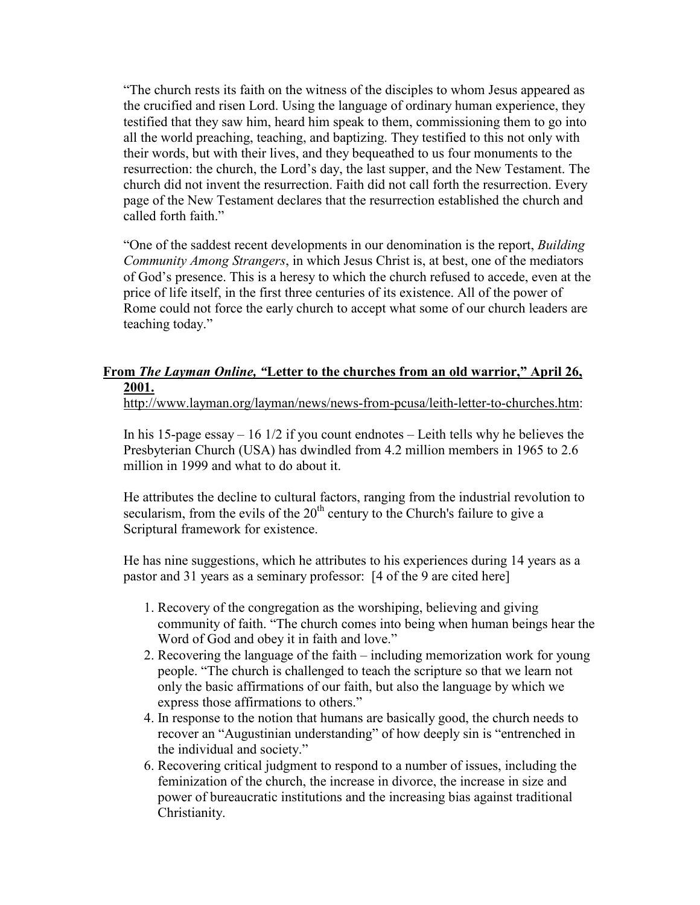"The church rests its faith on the witness of the disciples to whom Jesus appeared as the crucified and risen Lord. Using the language of ordinary human experience, they testified that they saw him, heard him speak to them, commissioning them to go into all the world preaching, teaching, and baptizing. They testified to this not only with their words, but with their lives, and they bequeathed to us four monuments to the resurrection: the church, the Lord's day, the last supper, and the New Testament. The church did not invent the resurrection. Faith did not call forth the resurrection. Every page of the New Testament declares that the resurrection established the church and called forth faith."

"One of the saddest recent developments in our denomination is the report, *Building Community Among Strangers*, in which Jesus Christ is, at best, one of the mediators of God's presence. This is a heresy to which the church refused to accede, even at the price of life itself, in the first three centuries of its existence. All of the power of Rome could not force the early church to accept what some of our church leaders are teaching today."

## **From** *The Layman Online, "***Letter to the churches from an old warrior," April 26, 2001.**

http://www.layman.org/layman/news/news-from-pcusa/leith-letter-to-churches.htm:

In his 15-page essay – 16 1/2 if you count endnotes – Leith tells why he believes the Presbyterian Church (USA) has dwindled from 4.2 million members in 1965 to 2.6 million in 1999 and what to do about it.

He attributes the decline to cultural factors, ranging from the industrial revolution to secularism, from the evils of the  $20<sup>th</sup>$  century to the Church's failure to give a Scriptural framework for existence.

He has nine suggestions, which he attributes to his experiences during 14 years as a pastor and 31 years as a seminary professor: [4 of the 9 are cited here]

- 1. Recovery of the congregation as the worshiping, believing and giving community of faith. "The church comes into being when human beings hear the Word of God and obey it in faith and love."
- 2. Recovering the language of the faith including memorization work for young people. "The church is challenged to teach the scripture so that we learn not only the basic affirmations of our faith, but also the language by which we express those affirmations to others."
- 4. In response to the notion that humans are basically good, the church needs to recover an "Augustinian understanding" of how deeply sin is "entrenched in the individual and society."
- 6. Recovering critical judgment to respond to a number of issues, including the feminization of the church, the increase in divorce, the increase in size and power of bureaucratic institutions and the increasing bias against traditional Christianity.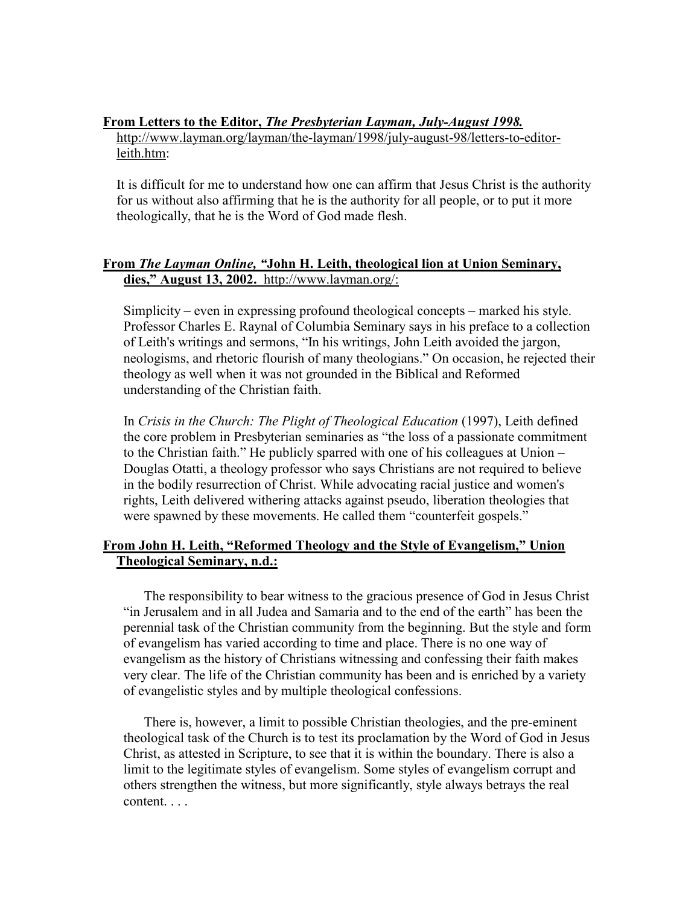### **From Letters to the Editor,** *The Presbyterian Layman, July-August 1998.*

http://www.layman.org/layman/the-layman/1998/july-august-98/letters-to-editorleith.htm:

It is difficult for me to understand how one can affirm that Jesus Christ is the authority for us without also affirming that he is the authority for all people, or to put it more theologically, that he is the Word of God made flesh.

## **From** *The Layman Online, "***John H. Leith, theological lion at Union Seminary, dies," August 13, 2002.** http://www.layman.org/:

Simplicity – even in expressing profound theological concepts – marked his style. Professor Charles E. Raynal of Columbia Seminary says in his preface to a collection of Leith's writings and sermons, "In his writings, John Leith avoided the jargon, neologisms, and rhetoric flourish of many theologians." On occasion, he rejected their theology as well when it was not grounded in the Biblical and Reformed understanding of the Christian faith.

In *Crisis in the Church: The Plight of Theological Education* (1997), Leith defined the core problem in Presbyterian seminaries as "the loss of a passionate commitment to the Christian faith." He publicly sparred with one of his colleagues at Union – Douglas Otatti, a theology professor who says Christians are not required to believe in the bodily resurrection of Christ. While advocating racial justice and women's rights, Leith delivered withering attacks against pseudo, liberation theologies that were spawned by these movements. He called them "counterfeit gospels."

## **From John H. Leith, "Reformed Theology and the Style of Evangelism," Union Theological Seminary, n.d.:**

The responsibility to bear witness to the gracious presence of God in Jesus Christ "in Jerusalem and in all Judea and Samaria and to the end of the earth" has been the perennial task of the Christian community from the beginning. But the style and form of evangelism has varied according to time and place. There is no one way of evangelism as the history of Christians witnessing and confessing their faith makes very clear. The life of the Christian community has been and is enriched by a variety of evangelistic styles and by multiple theological confessions.

There is, however, a limit to possible Christian theologies, and the pre-eminent theological task of the Church is to test its proclamation by the Word of God in Jesus Christ, as attested in Scripture, to see that it is within the boundary. There is also a limit to the legitimate styles of evangelism. Some styles of evangelism corrupt and others strengthen the witness, but more significantly, style always betrays the real content. . . .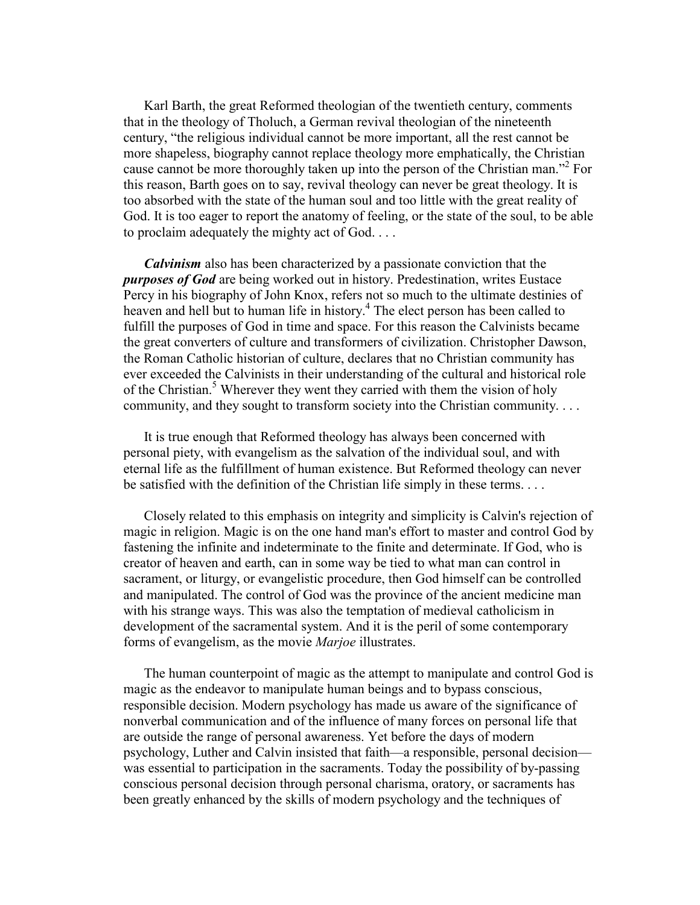Karl Barth, the great Reformed theologian of the twentieth century, comments that in the theology of Tholuch, a German revival theologian of the nineteenth century, "the religious individual cannot be more important, all the rest cannot be more shapeless, biography cannot replace theology more emphatically, the Christian cause cannot be more thoroughly taken up into the person of the Christian man."<sup>2</sup> For this reason, Barth goes on to say, revival theology can never be great theology. It is too absorbed with the state of the human soul and too little with the great reality of God. It is too eager to report the anatomy of feeling, or the state of the soul, to be able to proclaim adequately the mighty act of God. . . .

*Calvinism* also has been characterized by a passionate conviction that the *purposes of God* are being worked out in history. Predestination, writes Eustace Percy in his biography of John Knox, refers not so much to the ultimate destinies of heaven and hell but to human life in history.<sup>4</sup> The elect person has been called to fulfill the purposes of God in time and space. For this reason the Calvinists became the great converters of culture and transformers of civilization. Christopher Dawson, the Roman Catholic historian of culture, declares that no Christian community has ever exceeded the Calvinists in their understanding of the cultural and historical role of the Christian.<sup>5</sup> Wherever they went they carried with them the vision of holy community, and they sought to transform society into the Christian community. . . .

It is true enough that Reformed theology has always been concerned with personal piety, with evangelism as the salvation of the individual soul, and with eternal life as the fulfillment of human existence. But Reformed theology can never be satisfied with the definition of the Christian life simply in these terms. . . .

Closely related to this emphasis on integrity and simplicity is Calvin's rejection of magic in religion. Magic is on the one hand man's effort to master and control God by fastening the infinite and indeterminate to the finite and determinate. If God, who is creator of heaven and earth, can in some way be tied to what man can control in sacrament, or liturgy, or evangelistic procedure, then God himself can be controlled and manipulated. The control of God was the province of the ancient medicine man with his strange ways. This was also the temptation of medieval catholicism in development of the sacramental system. And it is the peril of some contemporary forms of evangelism, as the movie *Marjoe* illustrates.

The human counterpoint of magic as the attempt to manipulate and control God is magic as the endeavor to manipulate human beings and to bypass conscious, responsible decision. Modern psychology has made us aware of the significance of nonverbal communication and of the influence of many forces on personal life that are outside the range of personal awareness. Yet before the days of modern psychology, Luther and Calvin insisted that faith—a responsible, personal decision was essential to participation in the sacraments. Today the possibility of by-passing conscious personal decision through personal charisma, oratory, or sacraments has been greatly enhanced by the skills of modern psychology and the techniques of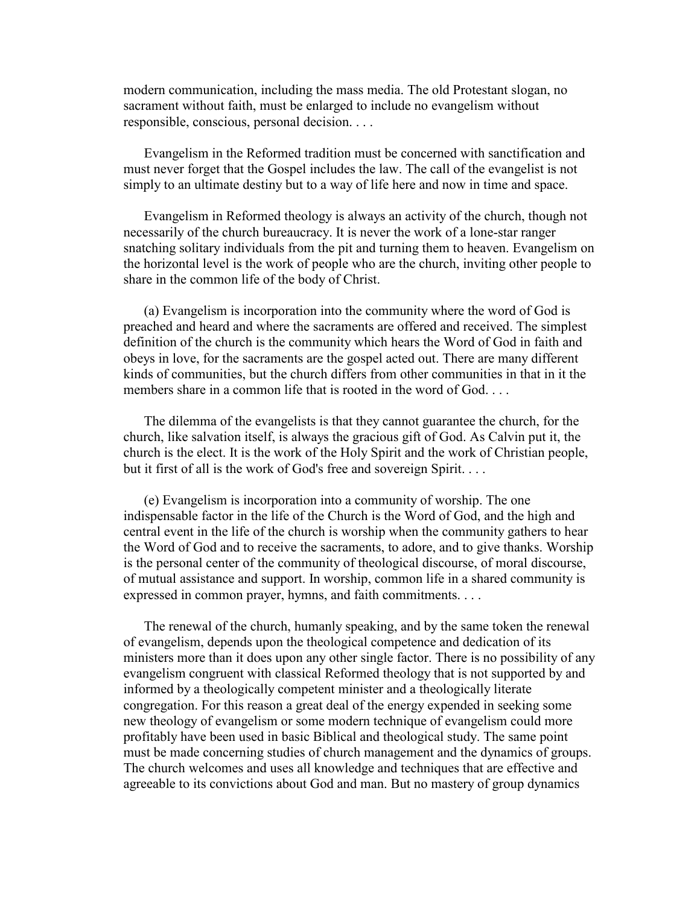modern communication, including the mass media. The old Protestant slogan, no sacrament without faith, must be enlarged to include no evangelism without responsible, conscious, personal decision. . . .

Evangelism in the Reformed tradition must be concerned with sanctification and must never forget that the Gospel includes the law. The call of the evangelist is not simply to an ultimate destiny but to a way of life here and now in time and space.

Evangelism in Reformed theology is always an activity of the church, though not necessarily of the church bureaucracy. It is never the work of a lone-star ranger snatching solitary individuals from the pit and turning them to heaven. Evangelism on the horizontal level is the work of people who are the church, inviting other people to share in the common life of the body of Christ.

(a) Evangelism is incorporation into the community where the word of God is preached and heard and where the sacraments are offered and received. The simplest definition of the church is the community which hears the Word of God in faith and obeys in love, for the sacraments are the gospel acted out. There are many different kinds of communities, but the church differs from other communities in that in it the members share in a common life that is rooted in the word of God.

The dilemma of the evangelists is that they cannot guarantee the church, for the church, like salvation itself, is always the gracious gift of God. As Calvin put it, the church is the elect. It is the work of the Holy Spirit and the work of Christian people, but it first of all is the work of God's free and sovereign Spirit. . . .

(e) Evangelism is incorporation into a community of worship. The one indispensable factor in the life of the Church is the Word of God, and the high and central event in the life of the church is worship when the community gathers to hear the Word of God and to receive the sacraments, to adore, and to give thanks. Worship is the personal center of the community of theological discourse, of moral discourse, of mutual assistance and support. In worship, common life in a shared community is expressed in common prayer, hymns, and faith commitments. . . .

The renewal of the church, humanly speaking, and by the same token the renewal of evangelism, depends upon the theological competence and dedication of its ministers more than it does upon any other single factor. There is no possibility of any evangelism congruent with classical Reformed theology that is not supported by and informed by a theologically competent minister and a theologically literate congregation. For this reason a great deal of the energy expended in seeking some new theology of evangelism or some modern technique of evangelism could more profitably have been used in basic Biblical and theological study. The same point must be made concerning studies of church management and the dynamics of groups. The church welcomes and uses all knowledge and techniques that are effective and agreeable to its convictions about God and man. But no mastery of group dynamics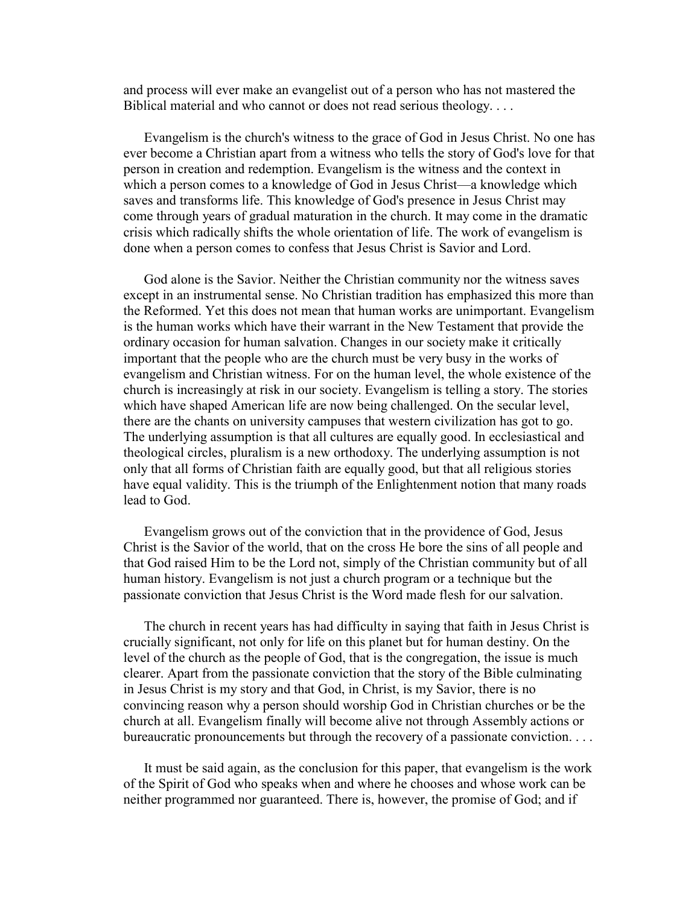and process will ever make an evangelist out of a person who has not mastered the Biblical material and who cannot or does not read serious theology. . . .

Evangelism is the church's witness to the grace of God in Jesus Christ. No one has ever become a Christian apart from a witness who tells the story of God's love for that person in creation and redemption. Evangelism is the witness and the context in which a person comes to a knowledge of God in Jesus Christ—a knowledge which saves and transforms life. This knowledge of God's presence in Jesus Christ may come through years of gradual maturation in the church. It may come in the dramatic crisis which radically shifts the whole orientation of life. The work of evangelism is done when a person comes to confess that Jesus Christ is Savior and Lord.

God alone is the Savior. Neither the Christian community nor the witness saves except in an instrumental sense. No Christian tradition has emphasized this more than the Reformed. Yet this does not mean that human works are unimportant. Evangelism is the human works which have their warrant in the New Testament that provide the ordinary occasion for human salvation. Changes in our society make it critically important that the people who are the church must be very busy in the works of evangelism and Christian witness. For on the human level, the whole existence of the church is increasingly at risk in our society. Evangelism is telling a story. The stories which have shaped American life are now being challenged. On the secular level, there are the chants on university campuses that western civilization has got to go. The underlying assumption is that all cultures are equally good. In ecclesiastical and theological circles, pluralism is a new orthodoxy. The underlying assumption is not only that all forms of Christian faith are equally good, but that all religious stories have equal validity. This is the triumph of the Enlightenment notion that many roads lead to God.

Evangelism grows out of the conviction that in the providence of God, Jesus Christ is the Savior of the world, that on the cross He bore the sins of all people and that God raised Him to be the Lord not, simply of the Christian community but of all human history. Evangelism is not just a church program or a technique but the passionate conviction that Jesus Christ is the Word made flesh for our salvation.

The church in recent years has had difficulty in saying that faith in Jesus Christ is crucially significant, not only for life on this planet but for human destiny. On the level of the church as the people of God, that is the congregation, the issue is much clearer. Apart from the passionate conviction that the story of the Bible culminating in Jesus Christ is my story and that God, in Christ, is my Savior, there is no convincing reason why a person should worship God in Christian churches or be the church at all. Evangelism finally will become alive not through Assembly actions or bureaucratic pronouncements but through the recovery of a passionate conviction. . . .

It must be said again, as the conclusion for this paper, that evangelism is the work of the Spirit of God who speaks when and where he chooses and whose work can be neither programmed nor guaranteed. There is, however, the promise of God; and if